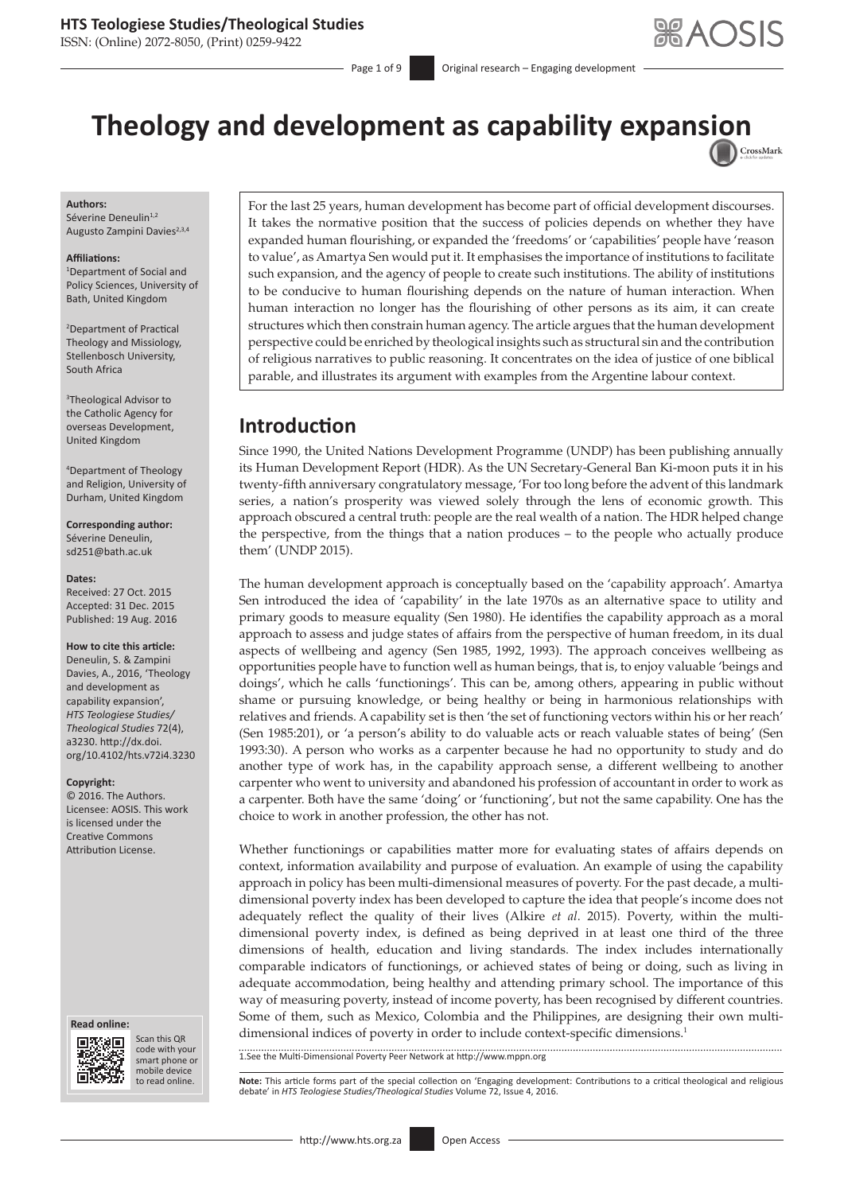### **HTS Teologiese Studies/Theological Studies**

ISSN: (Online) 2072-8050, (Print) 0259-9422



# **Theology and development as capability expan[sion](http://crossmark.crossref.org/dialog/?doi=10.4102/hts.v72i4.3230=pdf&date_stamp=2016-08-19)**

#### **Authors:**

Séverine Deneulin<sup>1,2</sup> Augusto Zampini Davies<sup>2,3,4</sup>

#### **Affiliations:**

1 Department of Social and Policy Sciences, University of Bath, United Kingdom

2 Department of Practical Theology and Missiology, Stellenbosch University, South Africa

3 Theological Advisor to the Catholic Agency for overseas Development, United Kingdom

4 Department of Theology and Religion, University of Durham, United Kingdom

**Corresponding author:** Séverine Deneulin, [sd251@bath.ac.uk](mailto:sd251@bath.ac.uk)

#### **Dates:**

Received: 27 Oct. 2015 Accepted: 31 Dec. 2015 Published: 19 Aug. 2016

#### **How to cite this article:**

Deneulin, S. & Zampini Davies, A., 2016, 'Theology and development as capability expansion', *HTS Teologiese Studies/ Theological Studies* 72(4), a3230. [http://dx.doi.](http://dx.doi.org/10.4102/hts.v72i4.3230) [org/10.4102/hts.v72i4.3230](http://dx.doi.org/10.4102/hts.v72i4.3230)

#### **Copyright:**

© 2016. The Authors. Licensee: AOSIS. This work is licensed under the Creative Commons Attribution License.

#### **Read online: Read**



Scan this QR Scan this QR<br>code with your smart phone or smart phone or mobile mobile device to read online.

For the last 25 years, human development has become part of official development discourses. It takes the normative position that the success of policies depends on whether they have expanded human flourishing, or expanded the 'freedoms' or 'capabilities' people have 'reason to value', as Amartya Sen would put it. It emphasises the importance of institutions to facilitate such expansion, and the agency of people to create such institutions. The ability of institutions to be conducive to human flourishing depends on the nature of human interaction. When human interaction no longer has the flourishing of other persons as its aim, it can create structures which then constrain human agency. The article argues that the human development perspective could be enriched by theological insights such as structural sin and the contribution of religious narratives to public reasoning. It concentrates on the idea of justice of one biblical parable, and illustrates its argument with examples from the Argentine labour context.

## **Introduction**

Since 1990, the United Nations Development Programme (UNDP) has been publishing annually its Human Development Report (HDR). As the UN Secretary-General Ban Ki-moon puts it in his twenty-fifth anniversary congratulatory message, 'For too long before the advent of this landmark series, a nation's prosperity was viewed solely through the lens of economic growth. This approach obscured a central truth: people are the real wealth of a nation. The HDR helped change the perspective, from the things that a nation produces – to the people who actually produce them' (UNDP 2015).

The human development approach is conceptually based on the 'capability approach'. Amartya Sen introduced the idea of 'capability' in the late 1970s as an alternative space to utility and primary goods to measure equality (Sen 1980). He identifies the capability approach as a moral approach to assess and judge states of affairs from the perspective of human freedom, in its dual aspects of wellbeing and agency (Sen 1985, 1992, 1993). The approach conceives wellbeing as opportunities people have to function well as human beings, that is, to enjoy valuable 'beings and doings', which he calls 'functionings'. This can be, among others, appearing in public without shame or pursuing knowledge, or being healthy or being in harmonious relationships with relatives and friends. A capability set is then 'the set of functioning vectors within his or her reach' (Sen 1985:201), or 'a person's ability to do valuable acts or reach valuable states of being' (Sen 1993:30). A person who works as a carpenter because he had no opportunity to study and do another type of work has, in the capability approach sense, a different wellbeing to another carpenter who went to university and abandoned his profession of accountant in order to work as a carpenter. Both have the same 'doing' or 'functioning', but not the same capability. One has the choice to work in another profession, the other has not.

Whether functionings or capabilities matter more for evaluating states of affairs depends on context, information availability and purpose of evaluation. An example of using the capability approach in policy has been multi-dimensional measures of poverty. For the past decade, a multidimensional poverty index has been developed to capture the idea that people's income does not adequately reflect the quality of their lives (Alkire *et al*. 2015). Poverty, within the multidimensional poverty index, is defined as being deprived in at least one third of the three dimensions of health, education and living standards. The index includes internationally comparable indicators of functionings, or achieved states of being or doing, such as living in adequate accommodation, being healthy and attending primary school. The importance of this way of measuring poverty, instead of income poverty, has been recognised by different countries. Some of them, such as Mexico, Colombia and the Philippines, are designing their own multidimensional indices of poverty in order to include context-specific dimensions.<sup>1</sup>

1.See the Multi-Dimensional Poverty Peer Network at<http://www.mppn.org>

Note: This article forms part of the special collection on 'Engaging development: Contributions to a critical theological and religious debate' in *HTS Teologiese Studies/Theological Studies* Volume 72, Issue 4, 2016.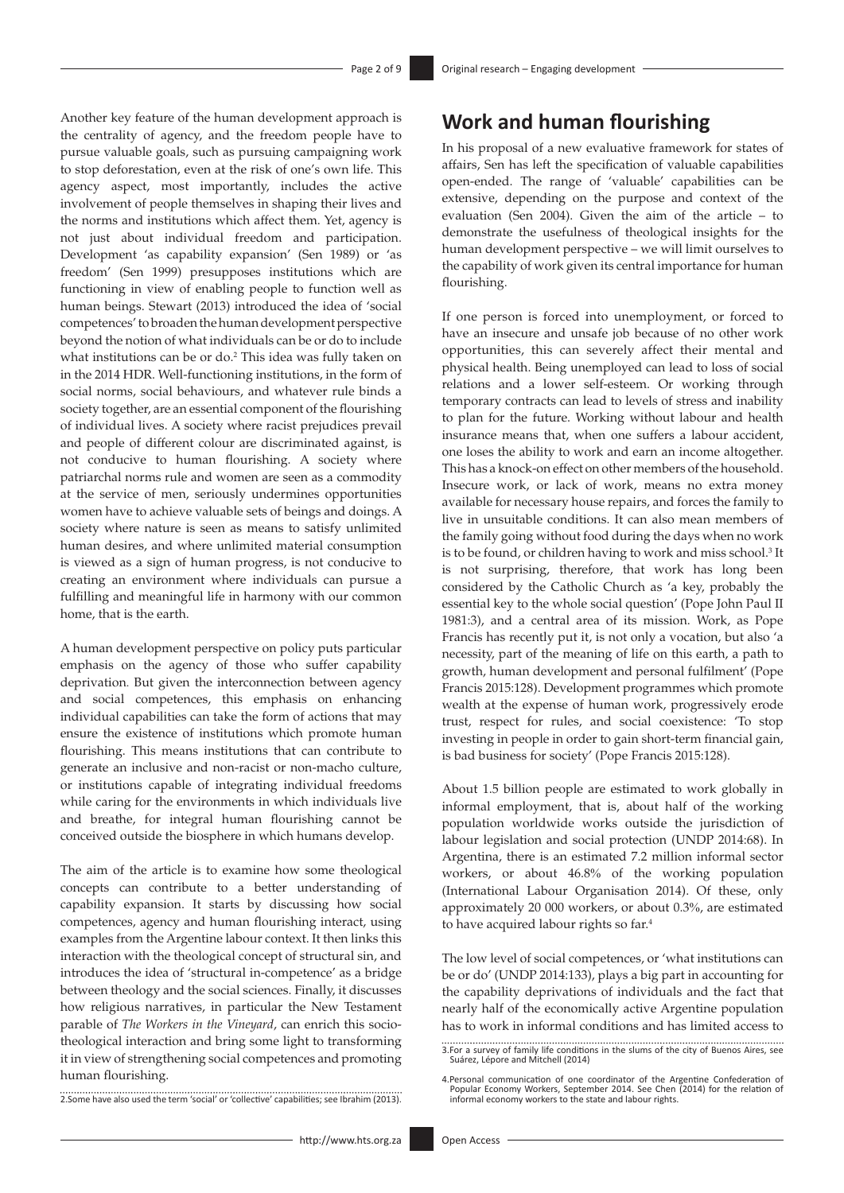Another key feature of the human development approach is the centrality of agency, and the freedom people have to pursue valuable goals, such as pursuing campaigning work to stop deforestation, even at the risk of one's own life. This agency aspect, most importantly, includes the active involvement of people themselves in shaping their lives and the norms and institutions which affect them. Yet, agency is not just about individual freedom and participation. Development 'as capability expansion' (Sen 1989) or 'as freedom' (Sen 1999) presupposes institutions which are functioning in view of enabling people to function well as human beings. Stewart (2013) introduced the idea of 'social competences' to broaden the human development perspective beyond the notion of what individuals can be or do to include what institutions can be or do.<sup>2</sup> This idea was fully taken on in the 2014 HDR. Well-functioning institutions, in the form of social norms, social behaviours, and whatever rule binds a society together, are an essential component of the flourishing of individual lives. A society where racist prejudices prevail and people of different colour are discriminated against, is not conducive to human flourishing. A society where patriarchal norms rule and women are seen as a commodity at the service of men, seriously undermines opportunities women have to achieve valuable sets of beings and doings. A society where nature is seen as means to satisfy unlimited human desires, and where unlimited material consumption is viewed as a sign of human progress, is not conducive to creating an environment where individuals can pursue a fulfilling and meaningful life in harmony with our common home, that is the earth.

A human development perspective on policy puts particular emphasis on the agency of those who suffer capability deprivation. But given the interconnection between agency and social competences, this emphasis on enhancing individual capabilities can take the form of actions that may ensure the existence of institutions which promote human flourishing. This means institutions that can contribute to generate an inclusive and non-racist or non-macho culture, or institutions capable of integrating individual freedoms while caring for the environments in which individuals live and breathe, for integral human flourishing cannot be conceived outside the biosphere in which humans develop.

The aim of the article is to examine how some theological concepts can contribute to a better understanding of capability expansion. It starts by discussing how social competences, agency and human flourishing interact, using examples from the Argentine labour context. It then links this interaction with the theological concept of structural sin, and introduces the idea of 'structural in-competence' as a bridge between theology and the social sciences. Finally, it discusses how religious narratives, in particular the New Testament parable of *The Workers in the Vineyard*, can enrich this sociotheological interaction and bring some light to transforming it in view of strengthening social competences and promoting human flourishing.

2.Some have also used the term 'social' or 'collective' capabilities; see Ibrahim (2013).

# **Work and human flourishing**

In his proposal of a new evaluative framework for states of affairs, Sen has left the specification of valuable capabilities open-ended. The range of 'valuable' capabilities can be extensive, depending on the purpose and context of the evaluation (Sen 2004). Given the aim of the article – to demonstrate the usefulness of theological insights for the human development perspective – we will limit ourselves to the capability of work given its central importance for human flourishing.

If one person is forced into unemployment, or forced to have an insecure and unsafe job because of no other work opportunities, this can severely affect their mental and physical health. Being unemployed can lead to loss of social relations and a lower self-esteem. Or working through temporary contracts can lead to levels of stress and inability to plan for the future. Working without labour and health insurance means that, when one suffers a labour accident, one loses the ability to work and earn an income altogether. This has a knock-on effect on other members of the household. Insecure work, or lack of work, means no extra money available for necessary house repairs, and forces the family to live in unsuitable conditions. It can also mean members of the family going without food during the days when no work is to be found, or children having to work and miss school.<sup>3</sup> It is not surprising, therefore, that work has long been considered by the Catholic Church as 'a key, probably the essential key to the whole social question' (Pope John Paul II 1981:3), and a central area of its mission. Work, as Pope Francis has recently put it, is not only a vocation, but also 'a necessity, part of the meaning of life on this earth, a path to growth, human development and personal fulfilment' (Pope Francis 2015:128). Development programmes which promote wealth at the expense of human work, progressively erode trust, respect for rules, and social coexistence: 'To stop investing in people in order to gain short-term financial gain, is bad business for society' (Pope Francis 2015:128).

About 1.5 billion people are estimated to work globally in informal employment, that is, about half of the working population worldwide works outside the jurisdiction of labour legislation and social protection (UNDP 2014:68). In Argentina, there is an estimated 7.2 million informal sector workers, or about 46.8% of the working population (International Labour Organisation 2014). Of these, only approximately 20 000 workers, or about 0.3%, are estimated to have acquired labour rights so far.<sup>4</sup>

The low level of social competences, or 'what institutions can be or do' (UNDP 2014:133), plays a big part in accounting for the capability deprivations of individuals and the fact that nearly half of the economically active Argentine population has to work in informal conditions and has limited access to

<sup>3.</sup>For a survey of family life conditions in the slums of the city of Buenos Aires, see Suárez, Lépore and Mitchell (2014)

<sup>4.</sup>Personal communication of one coordinator of the Argentine Confederation of<br>Popular Economy Workers, September 2014 see Chen (2014) for the relation of<br>informal economy workers to the state and labour rights.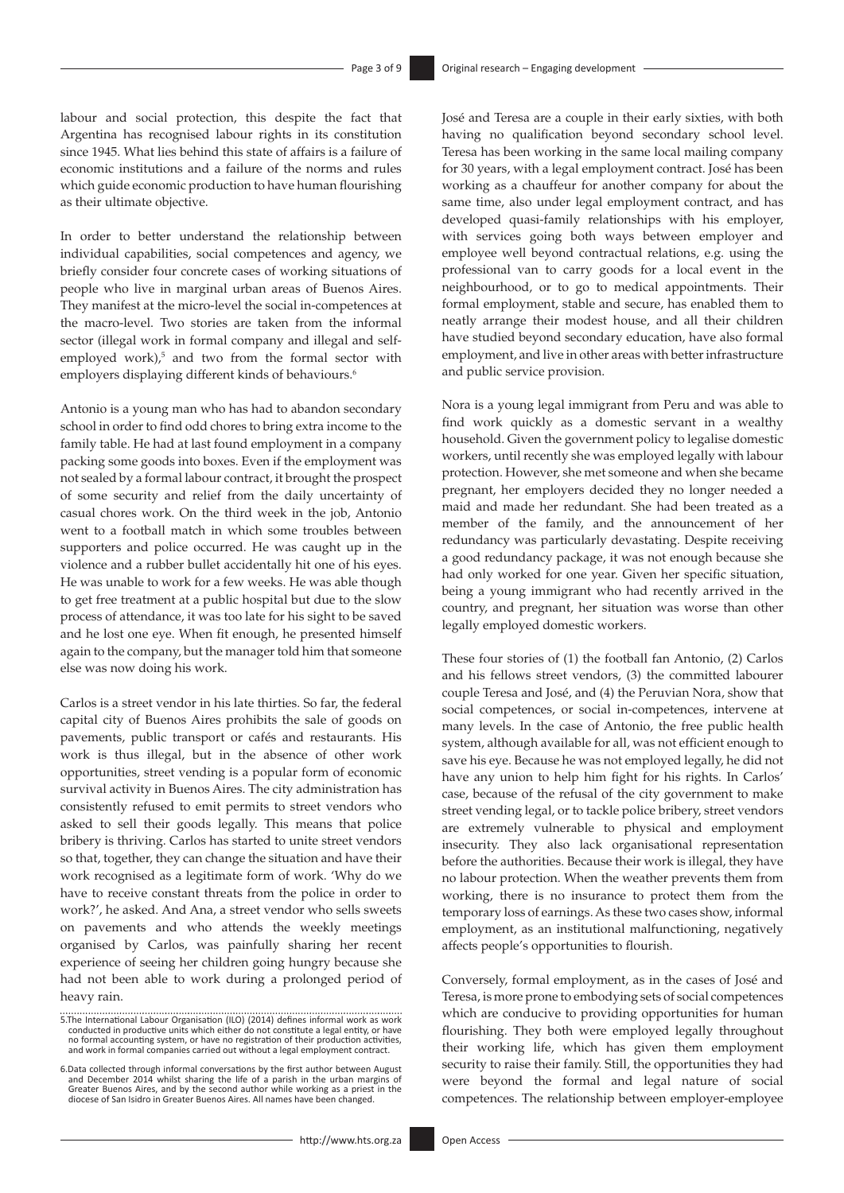labour and social protection, this despite the fact that Argentina has recognised labour rights in its constitution since 1945. What lies behind this state of affairs is a failure of economic institutions and a failure of the norms and rules which guide economic production to have human flourishing as their ultimate objective.

In order to better understand the relationship between individual capabilities, social competences and agency, we briefly consider four concrete cases of working situations of people who live in marginal urban areas of Buenos Aires. They manifest at the micro-level the social in-competences at the macro-level. Two stories are taken from the informal sector (illegal work in formal company and illegal and selfemployed work), $5$  and two from the formal sector with employers displaying different kinds of behaviours.<sup>6</sup>

Antonio is a young man who has had to abandon secondary school in order to find odd chores to bring extra income to the family table. He had at last found employment in a company packing some goods into boxes. Even if the employment was not sealed by a formal labour contract, it brought the prospect of some security and relief from the daily uncertainty of casual chores work. On the third week in the job, Antonio went to a football match in which some troubles between supporters and police occurred. He was caught up in the violence and a rubber bullet accidentally hit one of his eyes. He was unable to work for a few weeks. He was able though to get free treatment at a public hospital but due to the slow process of attendance, it was too late for his sight to be saved and he lost one eye. When fit enough, he presented himself again to the company, but the manager told him that someone else was now doing his work.

Carlos is a street vendor in his late thirties. So far, the federal capital city of Buenos Aires prohibits the sale of goods on pavements, public transport or cafés and restaurants. His work is thus illegal, but in the absence of other work opportunities, street vending is a popular form of economic survival activity in Buenos Aires. The city administration has consistently refused to emit permits to street vendors who asked to sell their goods legally. This means that police bribery is thriving. Carlos has started to unite street vendors so that, together, they can change the situation and have their work recognised as a legitimate form of work. 'Why do we have to receive constant threats from the police in order to work?', he asked. And Ana, a street vendor who sells sweets on pavements and who attends the weekly meetings organised by Carlos, was painfully sharing her recent experience of seeing her children going hungry because she had not been able to work during a prolonged period of heavy rain.

José and Teresa are a couple in their early sixties, with both having no qualification beyond secondary school level. Teresa has been working in the same local mailing company for 30 years, with a legal employment contract. José has been working as a chauffeur for another company for about the same time, also under legal employment contract, and has developed quasi-family relationships with his employer, with services going both ways between employer and employee well beyond contractual relations, e.g. using the professional van to carry goods for a local event in the neighbourhood, or to go to medical appointments. Their formal employment, stable and secure, has enabled them to neatly arrange their modest house, and all their children have studied beyond secondary education, have also formal employment, and live in other areas with better infrastructure and public service provision.

Nora is a young legal immigrant from Peru and was able to find work quickly as a domestic servant in a wealthy household. Given the government policy to legalise domestic workers, until recently she was employed legally with labour protection. However, she met someone and when she became pregnant, her employers decided they no longer needed a maid and made her redundant. She had been treated as a member of the family, and the announcement of her redundancy was particularly devastating. Despite receiving a good redundancy package, it was not enough because she had only worked for one year. Given her specific situation, being a young immigrant who had recently arrived in the country, and pregnant, her situation was worse than other legally employed domestic workers.

These four stories of (1) the football fan Antonio, (2) Carlos and his fellows street vendors, (3) the committed labourer couple Teresa and José, and (4) the Peruvian Nora, show that social competences, or social in-competences, intervene at many levels. In the case of Antonio, the free public health system, although available for all, was not efficient enough to save his eye. Because he was not employed legally, he did not have any union to help him fight for his rights. In Carlos' case, because of the refusal of the city government to make street vending legal, or to tackle police bribery, street vendors are extremely vulnerable to physical and employment insecurity. They also lack organisational representation before the authorities. Because their work is illegal, they have no labour protection. When the weather prevents them from working, there is no insurance to protect them from the temporary loss of earnings. As these two cases show, informal employment, as an institutional malfunctioning, negatively affects people's opportunities to flourish.

Conversely, formal employment, as in the cases of José and Teresa, is more prone to embodying sets of social competences which are conducive to providing opportunities for human flourishing. They both were employed legally throughout their working life, which has given them employment security to raise their family. Still, the opportunities they had were beyond the formal and legal nature of social competences. The relationship between employer-employee

<sup>5.</sup>The International Labour Organisation (ILO) (2014) defines informal work as work conducted in productive units which either do not constitute a legal entity, or have no formal accounting system, or have no registration of their production activities, and work in formal companies carried out without a legal employment contract.

<sup>6.</sup>Data collected through informal conversations by the first author between August<br>and December 2014 whilst sharing the life of a parish in the urban margins of<br>Greater Buenos Aires, and by the second author while working diocese of San Isidro in Greater Buenos Aires. All names have been changed.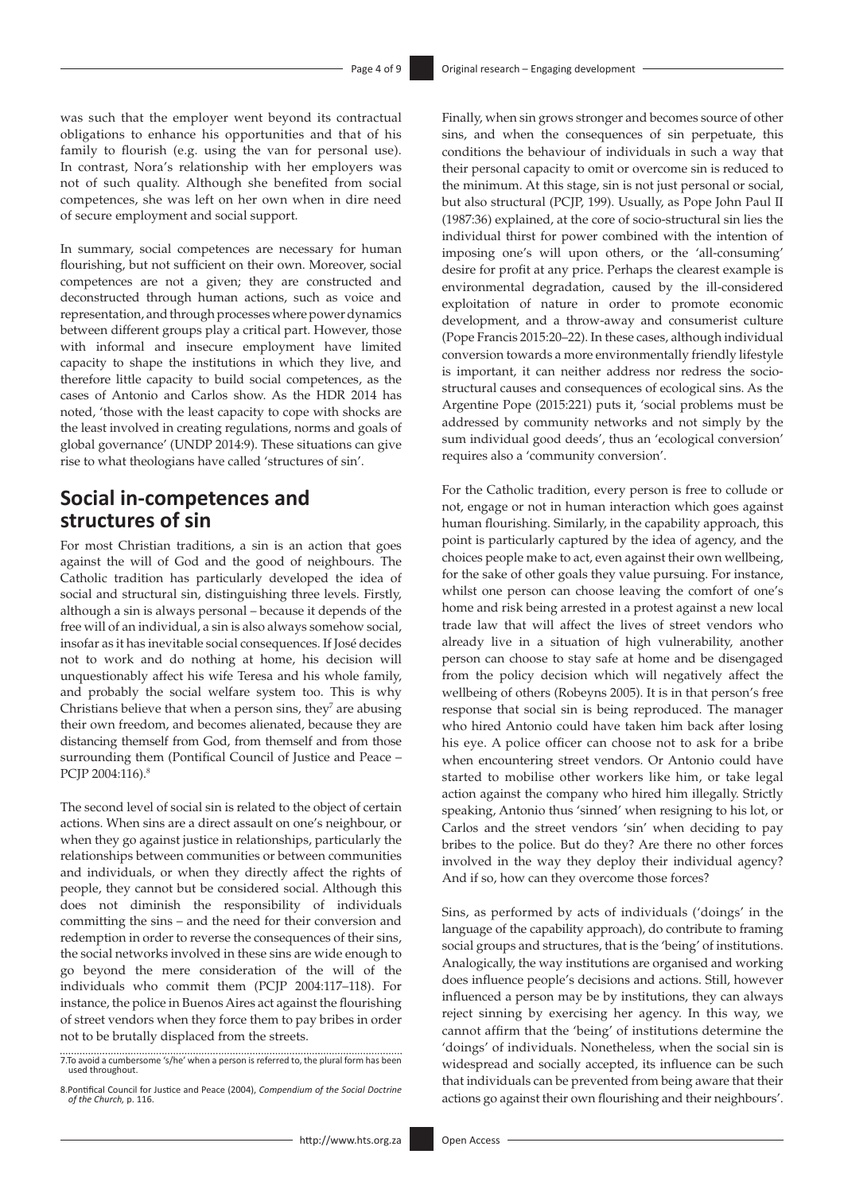was such that the employer went beyond its contractual obligations to enhance his opportunities and that of his family to flourish (e.g. using the van for personal use). In contrast, Nora's relationship with her employers was not of such quality. Although she benefited from social competences, she was left on her own when in dire need of secure employment and social support.

In summary, social competences are necessary for human flourishing, but not sufficient on their own. Moreover, social competences are not a given; they are constructed and deconstructed through human actions, such as voice and representation, and through processes where power dynamics between different groups play a critical part. However, those with informal and insecure employment have limited capacity to shape the institutions in which they live, and therefore little capacity to build social competences, as the cases of Antonio and Carlos show. As the HDR 2014 has noted, 'those with the least capacity to cope with shocks are the least involved in creating regulations, norms and goals of global governance' (UNDP 2014:9). These situations can give rise to what theologians have called 'structures of sin'.

## **Social in-competences and structures of sin**

For most Christian traditions, a sin is an action that goes against the will of God and the good of neighbours. The Catholic tradition has particularly developed the idea of social and structural sin, distinguishing three levels. Firstly, although a sin is always personal – because it depends of the free will of an individual, a sin is also always somehow social, insofar as it has inevitable social consequences. If José decides not to work and do nothing at home, his decision will unquestionably affect his wife Teresa and his whole family, and probably the social welfare system too. This is why Christians believe that when a person sins, they<sup>7</sup> are abusing their own freedom, and becomes alienated, because they are distancing themself from God, from themself and from those surrounding them (Pontifical Council of Justice and Peace – PCJP 2004:116).<sup>8</sup>

The second level of social sin is related to the object of certain actions. When sins are a direct assault on one's neighbour, or when they go against justice in relationships, particularly the relationships between communities or between communities and individuals, or when they directly affect the rights of people, they cannot but be considered social. Although this does not diminish the responsibility of individuals committing the sins – and the need for their conversion and redemption in order to reverse the consequences of their sins, the social networks involved in these sins are wide enough to go beyond the mere consideration of the will of the individuals who commit them (PCJP 2004:117–118). For instance, the police in Buenos Aires act against the flourishing of street vendors when they force them to pay bribes in order not to be brutally displaced from the streets.

Finally, when sin grows stronger and becomes source of other sins, and when the consequences of sin perpetuate, this conditions the behaviour of individuals in such a way that their personal capacity to omit or overcome sin is reduced to the minimum. At this stage, sin is not just personal or social, but also structural (PCJP, 199). Usually, as Pope John Paul II (1987:36) explained, at the core of socio-structural sin lies the individual thirst for power combined with the intention of imposing one's will upon others, or the 'all-consuming' desire for profit at any price. Perhaps the clearest example is environmental degradation, caused by the ill-considered exploitation of nature in order to promote economic development, and a throw-away and consumerist culture (Pope Francis 2015:20–22). In these cases, although individual conversion towards a more environmentally friendly lifestyle is important, it can neither address nor redress the sociostructural causes and consequences of ecological sins. As the Argentine Pope (2015:221) puts it, 'social problems must be addressed by community networks and not simply by the sum individual good deeds', thus an 'ecological conversion' requires also a 'community conversion'.

For the Catholic tradition, every person is free to collude or not, engage or not in human interaction which goes against human flourishing. Similarly, in the capability approach, this point is particularly captured by the idea of agency, and the choices people make to act, even against their own wellbeing, for the sake of other goals they value pursuing. For instance, whilst one person can choose leaving the comfort of one's home and risk being arrested in a protest against a new local trade law that will affect the lives of street vendors who already live in a situation of high vulnerability, another person can choose to stay safe at home and be disengaged from the policy decision which will negatively affect the wellbeing of others (Robeyns 2005). It is in that person's free response that social sin is being reproduced. The manager who hired Antonio could have taken him back after losing his eye. A police officer can choose not to ask for a bribe when encountering street vendors. Or Antonio could have started to mobilise other workers like him, or take legal action against the company who hired him illegally. Strictly speaking, Antonio thus 'sinned' when resigning to his lot, or Carlos and the street vendors 'sin' when deciding to pay bribes to the police. But do they? Are there no other forces involved in the way they deploy their individual agency? And if so, how can they overcome those forces?

Sins, as performed by acts of individuals ('doings' in the language of the capability approach), do contribute to framing social groups and structures, that is the 'being' of institutions. Analogically, the way institutions are organised and working does influence people's decisions and actions. Still, however influenced a person may be by institutions, they can always reject sinning by exercising her agency. In this way, we cannot affirm that the 'being' of institutions determine the 'doings' of individuals. Nonetheless, when the social sin is widespread and socially accepted, its influence can be such that individuals can be prevented from being aware that their actions go against their own flourishing and their neighbours'.

<sup>7.</sup>To avoid a cumbersome 's/he' when a person is referred to, the plural form has been used throughout.

<sup>8.</sup>Pontifical Council for Justice and Peace (2004), *Compendium of the Social Doctrine of the Church,* p. 116.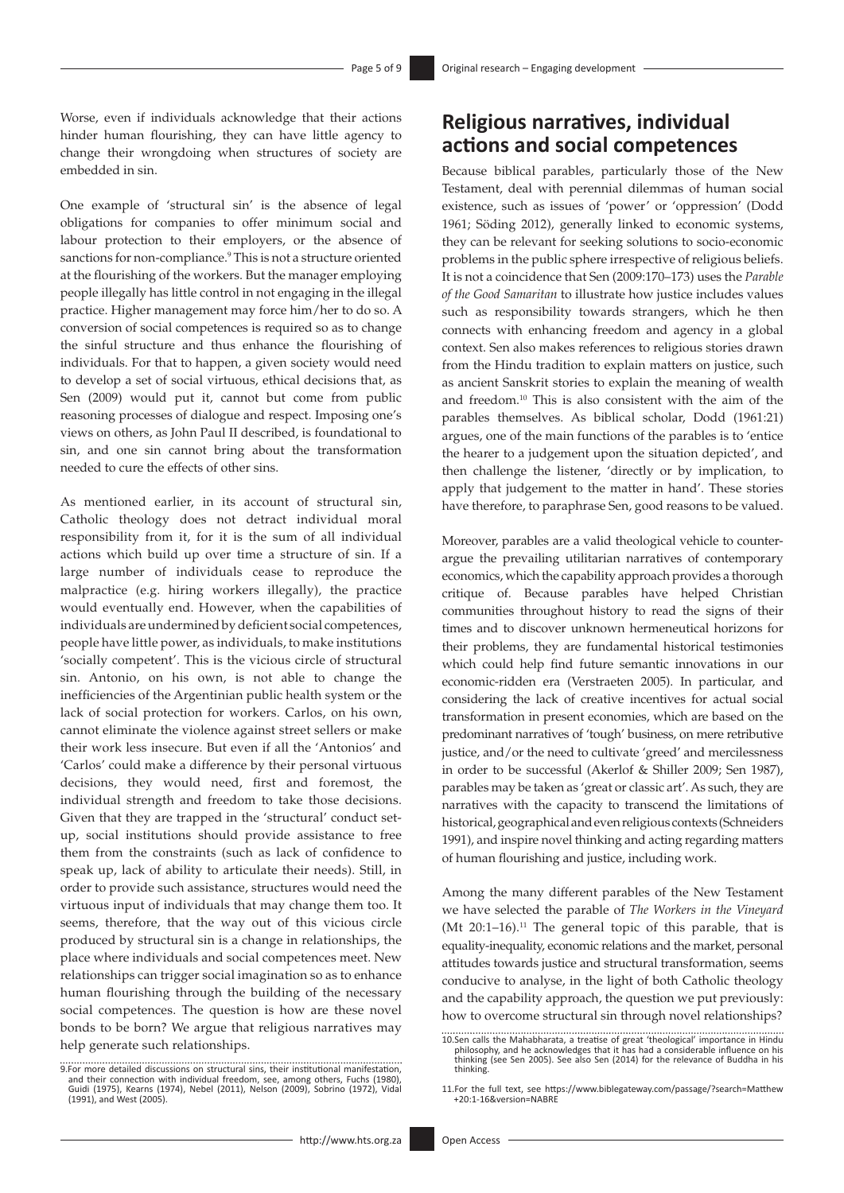Worse, even if individuals acknowledge that their actions hinder human flourishing, they can have little agency to change their wrongdoing when structures of society are embedded in sin.

One example of 'structural sin' is the absence of legal obligations for companies to offer minimum social and labour protection to their employers, or the absence of sanctions for non-compliance.<sup>9</sup> This is not a structure oriented at the flourishing of the workers. But the manager employing people illegally has little control in not engaging in the illegal practice. Higher management may force him/her to do so. A conversion of social competences is required so as to change the sinful structure and thus enhance the flourishing of individuals. For that to happen, a given society would need to develop a set of social virtuous, ethical decisions that, as Sen (2009) would put it, cannot but come from public reasoning processes of dialogue and respect. Imposing one's views on others, as John Paul II described, is foundational to sin, and one sin cannot bring about the transformation needed to cure the effects of other sins.

As mentioned earlier, in its account of structural sin, Catholic theology does not detract individual moral responsibility from it, for it is the sum of all individual actions which build up over time a structure of sin. If a large number of individuals cease to reproduce the malpractice (e.g. hiring workers illegally), the practice would eventually end. However, when the capabilities of individuals are undermined by deficient social competences, people have little power, as individuals, to make institutions 'socially competent'. This is the vicious circle of structural sin. Antonio, on his own, is not able to change the inefficiencies of the Argentinian public health system or the lack of social protection for workers. Carlos, on his own, cannot eliminate the violence against street sellers or make their work less insecure. But even if all the 'Antonios' and 'Carlos' could make a difference by their personal virtuous decisions, they would need, first and foremost, the individual strength and freedom to take those decisions. Given that they are trapped in the 'structural' conduct setup, social institutions should provide assistance to free them from the constraints (such as lack of confidence to speak up, lack of ability to articulate their needs). Still, in order to provide such assistance, structures would need the virtuous input of individuals that may change them too. It seems, therefore, that the way out of this vicious circle produced by structural sin is a change in relationships, the place where individuals and social competences meet. New relationships can trigger social imagination so as to enhance human flourishing through the building of the necessary social competences. The question is how are these novel bonds to be born? We argue that religious narratives may help generate such relationships.

## **Religious narratives, individual actions and social competences**

Because biblical parables, particularly those of the New Testament, deal with perennial dilemmas of human social existence, such as issues of 'power' or 'oppression' (Dodd 1961; Söding 2012), generally linked to economic systems, they can be relevant for seeking solutions to socio-economic problems in the public sphere irrespective of religious beliefs. It is not a coincidence that Sen (2009:170–173) uses the *Parable of the Good Samaritan* to illustrate how justice includes values such as responsibility towards strangers, which he then connects with enhancing freedom and agency in a global context. Sen also makes references to religious stories drawn from the Hindu tradition to explain matters on justice, such as ancient Sanskrit stories to explain the meaning of wealth and freedom.10 This is also consistent with the aim of the parables themselves. As biblical scholar, Dodd (1961:21) argues, one of the main functions of the parables is to 'entice the hearer to a judgement upon the situation depicted', and then challenge the listener, 'directly or by implication, to apply that judgement to the matter in hand'. These stories have therefore, to paraphrase Sen, good reasons to be valued.

Moreover, parables are a valid theological vehicle to counterargue the prevailing utilitarian narratives of contemporary economics, which the capability approach provides a thorough critique of. Because parables have helped Christian communities throughout history to read the signs of their times and to discover unknown hermeneutical horizons for their problems, they are fundamental historical testimonies which could help find future semantic innovations in our economic-ridden era (Verstraeten 2005). In particular, and considering the lack of creative incentives for actual social transformation in present economies, which are based on the predominant narratives of 'tough' business, on mere retributive justice, and/or the need to cultivate 'greed' and mercilessness in order to be successful (Akerlof & Shiller 2009; Sen 1987), parables may be taken as 'great or classic art'. As such, they are narratives with the capacity to transcend the limitations of historical, geographical and even religious contexts (Schneiders 1991), and inspire novel thinking and acting regarding matters of human flourishing and justice, including work.

Among the many different parables of the New Testament we have selected the parable of *The Workers in the Vineyard*  (Mt  $20:1-16$ ).<sup>11</sup> The general topic of this parable, that is equality-inequality, economic relations and the market, personal attitudes towards justice and structural transformation, seems conducive to analyse, in the light of both Catholic theology and the capability approach, the question we put previously: how to overcome structural sin through novel relationships?

<sup>9.</sup>For more detailed discussions on structural sins, their institutional manifestation, and their connection with individual freedom, see, among others, Fuchs (1980), Guidi (1975), Kearns (1974), Nebel (2011), Nelson (2009), Sobrino (1972), Vidal (1991), and West (2005).

<sup>10.</sup>Sen calls the Mahabharata, a treatise of great 'theological' importance in Hindu philosophy, and he acknowledges that it has had a considerable influence on his thinking (see Sen 2005). See also Sen (2014) for the relevance of Buddha in his thinking.

<sup>11.</sup>For the full text, see [https://www.biblegateway.com/passage/?search=Matthew](https://www.biblegateway.com/passage/?search=Matthew+20:1-16&version=NABRE) [+20:1-16&version=NABRE](https://www.biblegateway.com/passage/?search=Matthew+20:1-16&version=NABRE)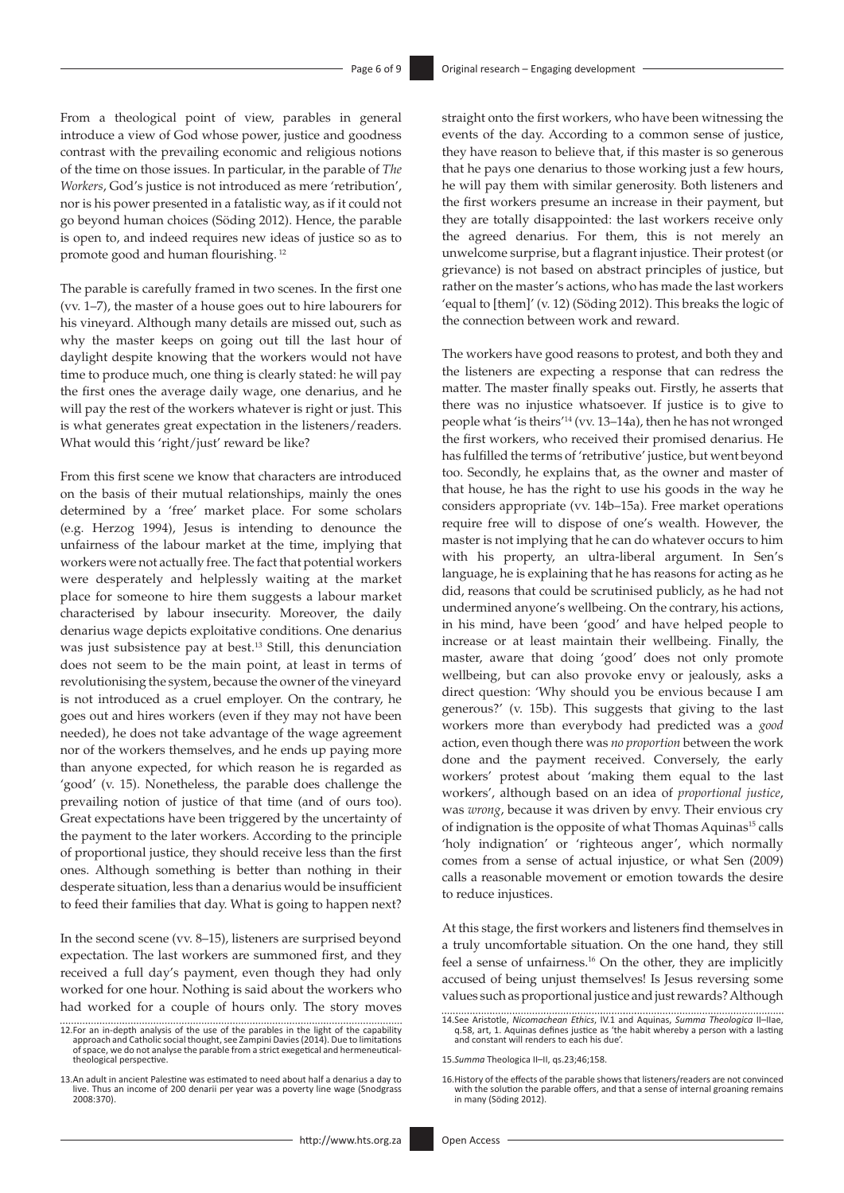From a theological point of view, parables in general introduce a view of God whose power, justice and goodness contrast with the prevailing economic and religious notions of the time on those issues. In particular, in the parable of *The Workers*, God's justice is not introduced as mere 'retribution', nor is his power presented in a fatalistic way, as if it could not go beyond human choices (Söding 2012). Hence, the parable is open to, and indeed requires new ideas of justice so as to promote good and human flourishing. <sup>12</sup>

The parable is carefully framed in two scenes. In the first one (vv. 1–7), the master of a house goes out to hire labourers for his vineyard. Although many details are missed out, such as why the master keeps on going out till the last hour of daylight despite knowing that the workers would not have time to produce much, one thing is clearly stated: he will pay the first ones the average daily wage, one denarius, and he will pay the rest of the workers whatever is right or just. This is what generates great expectation in the listeners/readers. What would this 'right/just' reward be like?

From this first scene we know that characters are introduced on the basis of their mutual relationships, mainly the ones determined by a 'free' market place. For some scholars (e.g. Herzog 1994), Jesus is intending to denounce the unfairness of the labour market at the time, implying that workers were not actually free. The fact that potential workers were desperately and helplessly waiting at the market place for someone to hire them suggests a labour market characterised by labour insecurity. Moreover, the daily denarius wage depicts exploitative conditions. One denarius was just subsistence pay at best.<sup>13</sup> Still, this denunciation does not seem to be the main point, at least in terms of revolutionising the system, because the owner of the vineyard is not introduced as a cruel employer. On the contrary, he goes out and hires workers (even if they may not have been needed), he does not take advantage of the wage agreement nor of the workers themselves, and he ends up paying more than anyone expected, for which reason he is regarded as 'good' (v. 15). Nonetheless, the parable does challenge the prevailing notion of justice of that time (and of ours too). Great expectations have been triggered by the uncertainty of the payment to the later workers. According to the principle of proportional justice, they should receive less than the first ones. Although something is better than nothing in their desperate situation, less than a denarius would be insufficient to feed their families that day. What is going to happen next?

In the second scene (vv. 8–15), listeners are surprised beyond expectation. The last workers are summoned first, and they received a full day's payment, even though they had only worked for one hour. Nothing is said about the workers who had worked for a couple of hours only. The story moves straight onto the first workers, who have been witnessing the events of the day. According to a common sense of justice, they have reason to believe that, if this master is so generous that he pays one denarius to those working just a few hours, he will pay them with similar generosity. Both listeners and the first workers presume an increase in their payment, but they are totally disappointed: the last workers receive only the agreed denarius. For them, this is not merely an unwelcome surprise, but a flagrant injustice. Their protest (or grievance) is not based on abstract principles of justice, but rather on the master's actions, who has made the last workers 'equal to [them]' (v. 12) (Söding 2012). This breaks the logic of the connection between work and reward.

The workers have good reasons to protest, and both they and the listeners are expecting a response that can redress the matter. The master finally speaks out. Firstly, he asserts that there was no injustice whatsoever. If justice is to give to people what 'is theirs'14 (vv. 13–14a), then he has not wronged the first workers, who received their promised denarius. He has fulfilled the terms of 'retributive' justice, but went beyond too. Secondly, he explains that, as the owner and master of that house, he has the right to use his goods in the way he considers appropriate (vv. 14b–15a). Free market operations require free will to dispose of one's wealth. However, the master is not implying that he can do whatever occurs to him with his property, an ultra-liberal argument. In Sen's language, he is explaining that he has reasons for acting as he did, reasons that could be scrutinised publicly, as he had not undermined anyone's wellbeing. On the contrary, his actions, in his mind, have been 'good' and have helped people to increase or at least maintain their wellbeing. Finally, the master, aware that doing 'good' does not only promote wellbeing, but can also provoke envy or jealously, asks a direct question: 'Why should you be envious because I am generous?' (v. 15b). This suggests that giving to the last workers more than everybody had predicted was a *good* action, even though there was *no proportion* between the work done and the payment received. Conversely, the early workers' protest about 'making them equal to the last workers', although based on an idea of *proportional justice*, was *wrong*, because it was driven by envy. Their envious cry of indignation is the opposite of what Thomas Aquinas<sup>15</sup> calls 'holy indignation' or 'righteous anger', which normally comes from a sense of actual injustice, or what Sen (2009) calls a reasonable movement or emotion towards the desire to reduce injustices.

At this stage, the first workers and listeners find themselves in a truly uncomfortable situation. On the one hand, they still feel a sense of unfairness.16 On the other, they are implicitly accused of being unjust themselves! Is Jesus reversing some values such as proportional justice and just rewards? Although

<sup>12.</sup>For an in-depth analysis of the use of the parables in the light of the capability approach and Catholic social thought, see Zampini Davies (2014). Due to limitations of space, we do not analyse the parable from a strict exegetical and hermeneuticaltheological perspective.

<sup>13.</sup>An adult in ancient Palestine was estimated to need about half a denarius a day to live. Thus an income of 200 denarii per year was a poverty line wage (Snodgrass 2008:370).

<sup>14.</sup>See Aristotle, *Nicomachean Ethics*, IV.1 and Aquinas, *Summa Theologica* II–IIae, q.58, art, 1. Aquinas defines justice as 'the habit whereby a person with a lasting and constant will renders to each his due'.

<sup>15.</sup>*Summa* Theologica II–II, qs.23;46;158.

<sup>16.</sup>History of the effects of the parable shows that listeners/readers are not convinced with the solution the parable offers, and that a sense of internal groaning remains in many (Söding 2012).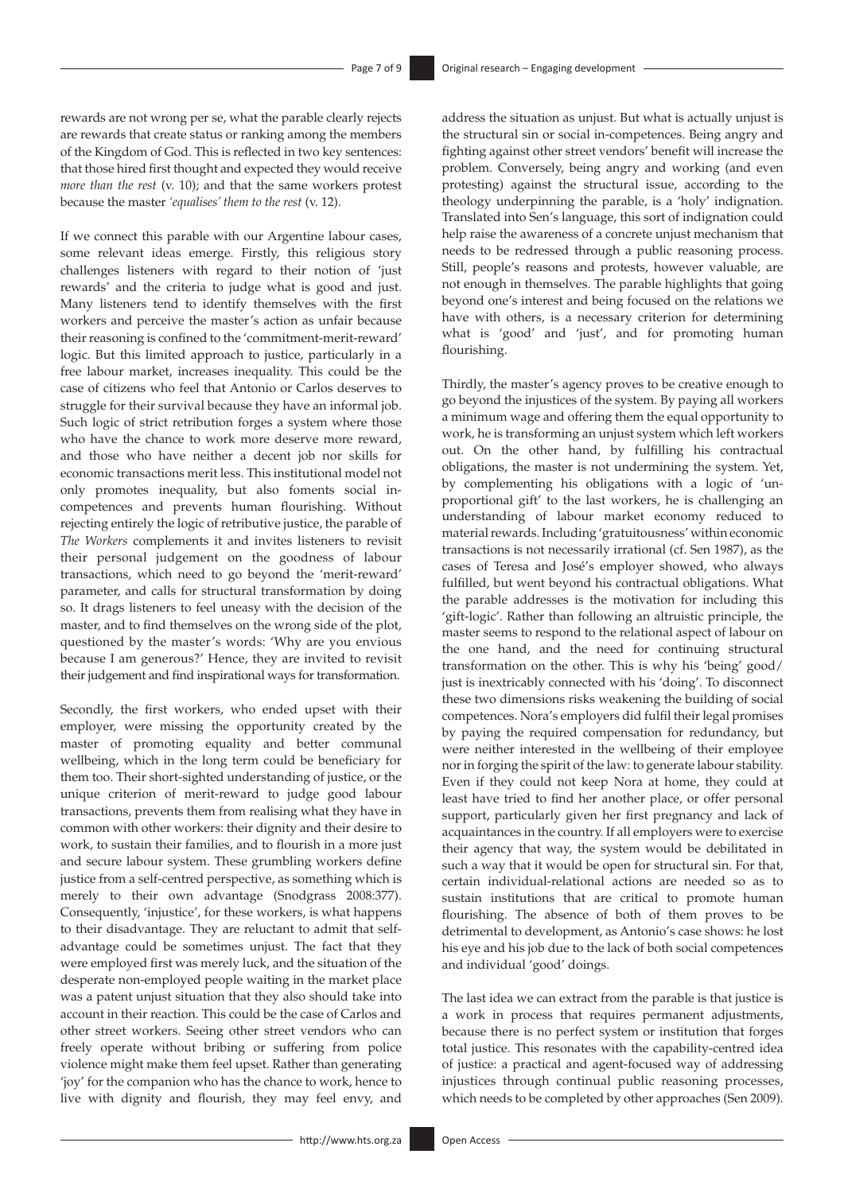rewards are not wrong per se, what the parable clearly rejects are rewards that create status or ranking among the members of the Kingdom of God. This is reflected in two key sentences: that those hired first thought and expected they would receive *more than the rest* (v. 10); and that the same workers protest because the master *'equalises' them to the rest* (v. 12).

If we connect this parable with our Argentine labour cases, some relevant ideas emerge. Firstly, this religious story challenges listeners with regard to their notion of 'just rewards' and the criteria to judge what is good and just. Many listeners tend to identify themselves with the first workers and perceive the master's action as unfair because their reasoning is confined to the 'commitment-merit-reward' logic. But this limited approach to justice, particularly in a free labour market, increases inequality. This could be the case of citizens who feel that Antonio or Carlos deserves to struggle for their survival because they have an informal job. Such logic of strict retribution forges a system where those who have the chance to work more deserve more reward, and those who have neither a decent job nor skills for economic transactions merit less. This institutional model not only promotes inequality, but also foments social incompetences and prevents human flourishing. Without rejecting entirely the logic of retributive justice, the parable of *The Workers* complements it and invites listeners to revisit their personal judgement on the goodness of labour transactions, which need to go beyond the 'merit-reward' parameter, and calls for structural transformation by doing so. It drags listeners to feel uneasy with the decision of the master, and to find themselves on the wrong side of the plot, questioned by the master's words: 'Why are you envious because I am generous?' Hence, they are invited to revisit their judgement and find inspirational ways for transformation.

Secondly, the first workers, who ended upset with their employer, were missing the opportunity created by the master of promoting equality and better communal wellbeing, which in the long term could be beneficiary for them too. Their short-sighted understanding of justice, or the unique criterion of merit-reward to judge good labour transactions, prevents them from realising what they have in common with other workers: their dignity and their desire to work, to sustain their families, and to flourish in a more just and secure labour system. These grumbling workers define justice from a self-centred perspective, as something which is merely to their own advantage (Snodgrass 2008:377). Consequently, 'injustice', for these workers, is what happens to their disadvantage. They are reluctant to admit that selfadvantage could be sometimes unjust. The fact that they were employed first was merely luck, and the situation of the desperate non-employed people waiting in the market place was a patent unjust situation that they also should take into account in their reaction. This could be the case of Carlos and other street workers. Seeing other street vendors who can freely operate without bribing or suffering from police violence might make them feel upset. Rather than generating 'joy' for the companion who has the chance to work, hence to live with dignity and flourish, they may feel envy, and

address the situation as unjust. But what is actually unjust is the structural sin or social in-competences. Being angry and fighting against other street vendors' benefit will increase the problem. Conversely, being angry and working (and even protesting) against the structural issue, according to the theology underpinning the parable, is a 'holy' indignation. Translated into Sen's language, this sort of indignation could help raise the awareness of a concrete unjust mechanism that needs to be redressed through a public reasoning process. Still, people's reasons and protests, however valuable, are not enough in themselves. The parable highlights that going beyond one's interest and being focused on the relations we have with others, is a necessary criterion for determining what is 'good' and 'just', and for promoting human flourishing.

Thirdly, the master's agency proves to be creative enough to go beyond the injustices of the system. By paying all workers a minimum wage and offering them the equal opportunity to work, he is transforming an unjust system which left workers out. On the other hand, by fulfilling his contractual obligations, the master is not undermining the system. Yet, by complementing his obligations with a logic of 'unproportional gift' to the last workers, he is challenging an understanding of labour market economy reduced to material rewards. Including 'gratuitousness' within economic transactions is not necessarily irrational (cf. Sen 1987), as the cases of Teresa and José's employer showed, who always fulfilled, but went beyond his contractual obligations. What the parable addresses is the motivation for including this 'gift-logic'. Rather than following an altruistic principle, the master seems to respond to the relational aspect of labour on the one hand, and the need for continuing structural transformation on the other. This is why his 'being' good/ just is inextricably connected with his 'doing'. To disconnect these two dimensions risks weakening the building of social competences. Nora's employers did fulfil their legal promises by paying the required compensation for redundancy, but were neither interested in the wellbeing of their employee nor in forging the spirit of the law: to generate labour stability. Even if they could not keep Nora at home, they could at least have tried to find her another place, or offer personal support, particularly given her first pregnancy and lack of acquaintances in the country. If all employers were to exercise their agency that way, the system would be debilitated in such a way that it would be open for structural sin. For that, certain individual-relational actions are needed so as to sustain institutions that are critical to promote human flourishing. The absence of both of them proves to be detrimental to development, as Antonio's case shows: he lost his eye and his job due to the lack of both social competences and individual 'good' doings.

The last idea we can extract from the parable is that justice is a work in process that requires permanent adjustments, because there is no perfect system or institution that forges total justice. This resonates with the capability-centred idea of justice: a practical and agent-focused way of addressing injustices through continual public reasoning processes, which needs to be completed by other approaches (Sen 2009).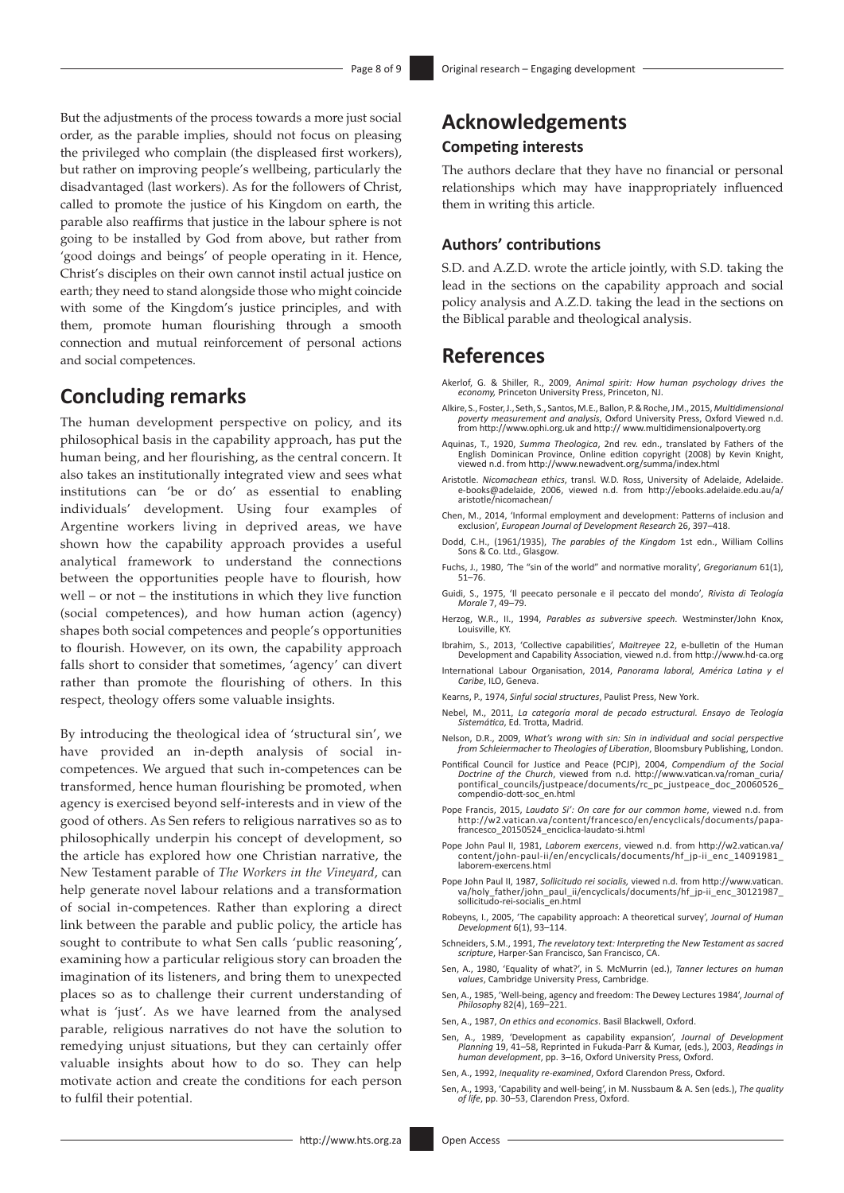But the adjustments of the process towards a more just social order, as the parable implies, should not focus on pleasing the privileged who complain (the displeased first workers), but rather on improving people's wellbeing, particularly the disadvantaged (last workers). As for the followers of Christ, called to promote the justice of his Kingdom on earth, the parable also reaffirms that justice in the labour sphere is not going to be installed by God from above, but rather from 'good doings and beings' of people operating in it. Hence, Christ's disciples on their own cannot instil actual justice on earth; they need to stand alongside those who might coincide with some of the Kingdom's justice principles, and with them, promote human flourishing through a smooth connection and mutual reinforcement of personal actions and social competences.

## **Concluding remarks**

The human development perspective on policy, and its philosophical basis in the capability approach, has put the human being, and her flourishing, as the central concern. It also takes an institutionally integrated view and sees what institutions can 'be or do' as essential to enabling individuals' development. Using four examples of Argentine workers living in deprived areas, we have shown how the capability approach provides a useful analytical framework to understand the connections between the opportunities people have to flourish, how well – or not – the institutions in which they live function (social competences), and how human action (agency) shapes both social competences and people's opportunities to flourish. However, on its own, the capability approach falls short to consider that sometimes, 'agency' can divert rather than promote the flourishing of others. In this respect, theology offers some valuable insights.

By introducing the theological idea of 'structural sin', we have provided an in-depth analysis of social incompetences. We argued that such in-competences can be transformed, hence human flourishing be promoted, when agency is exercised beyond self-interests and in view of the good of others. As Sen refers to religious narratives so as to philosophically underpin his concept of development, so the article has explored how one Christian narrative, the New Testament parable of *The Workers in the Vineyard*, can help generate novel labour relations and a transformation of social in-competences. Rather than exploring a direct link between the parable and public policy, the article has sought to contribute to what Sen calls 'public reasoning', examining how a particular religious story can broaden the imagination of its listeners, and bring them to unexpected places so as to challenge their current understanding of what is 'just'. As we have learned from the analysed parable, religious narratives do not have the solution to remedying unjust situations, but they can certainly offer valuable insights about how to do so. They can help motivate action and create the conditions for each person to fulfil their potential.

## **Acknowledgements Competing interests**

The authors declare that they have no financial or personal relationships which may have inappropriately influenced them in writing this article.

#### **Authors' contributions**

S.D. and A.Z.D. wrote the article jointly, with S.D. taking the lead in the sections on the capability approach and social policy analysis and A.Z.D. taking the lead in the sections on the Biblical parable and theological analysis.

## **References**

- Akerlof, G. & Shiller, R., 2009, *Animal spirit: How human psychology drives the economy,* Princeton University Press, Princeton, NJ.
- Alkire, S., Foster, J., Seth, S., Santos, M.E., Ballon, P. & Roche, J M., 2015, *Multidimensional poverty measurement and analysis*, Oxford University Press, Oxford Viewed n.d. from<http://www.ophi.org.uk> and<http:// www.multidimensionalpoverty.org>
- Aquinas, T., 1920, *Summa Theologica*, 2nd rev. edn., translated by Fathers of the English Dominican Province, Online edition copyright (2008) by Kevin Knight, viewed n.d. from <http://www.newadvent.org/summa/index.html>
- Aristotle. *Nicomachean ethics*, transl. W.D. Ross, University of Adelaide, Adelaide. e-books@adelaide, 2006, viewed n.d. from [http://ebooks.adelaide.edu.au/a/](http://ebooks.adelaide.edu.au/a/aristotle/nicomachean/) [aristotle/nicomachean/](http://ebooks.adelaide.edu.au/a/aristotle/nicomachean/)
- Chen, M., 2014, 'Informal employment and development: Patterns of inclusion and exclusion', *European Journal of Development Research* 26, 397–418.
- Dodd, C.H., (1961/1935), *The parables of the Kingdom* 1st edn., William Collins Sons & Co. Ltd., Glasgow.
- Fuchs, J., 1980, *'*The "sin of the world" and normative morality', *Gregorianum* 61(1), 51–76.
- Guidi, S., 1975, 'Il peecato personale e il peccato del mondo'*, Rivista di Teología Morale* 7, 49–79.
- Herzog, W.R., II., 1994, *Parables as subversive speech*. Westminster/John Knox, Louisville, KY.

Ibrahim, S., 2013, 'Collective capabilities', *Maitreyee* 22, e-bulletin of the Human Development and Capability Association, viewed n.d. from<http://www.hd-ca.org>

- International Labour Organisation, 2014, *Panorama laboral, América Latina y el Caribe*, ILO, Geneva.
- Kearns, P., 1974, *Sinful social structures*, Paulist Press, New York.
- Nebel, M., 2011, *La categoría moral de pecado estructural. Ensayo de Teología Sistemática*, Ed. Trotta, Madrid.
- Nelson, D.R., 2009, *What's wrong with sin: Sin in individual and social perspective from Schleiermacher to Theologies of Liberation*, Bloomsbury Publishing, London.
- Pontifical Council for Justice and Peace (PCJP), 2004, *Compendium of the Social Doctrine of the Church*, viewed from n.d. [http://www.vatican.va/roman\\_curia/](http://www.vatican.va/roman_curia/pontifical_councils/justpeace/documents/rc_pc_justpeace_doc_20060526_compendio-dott-soc_en.html) [pontifical\\_councils/justpeace/documents/rc\\_pc\\_justpeace\\_doc\\_20060526\\_](http://www.vatican.va/roman_curia/pontifical_councils/justpeace/documents/rc_pc_justpeace_doc_20060526_compendio-dott-soc_en.html) [compendio-dott-soc\\_en.html](http://www.vatican.va/roman_curia/pontifical_councils/justpeace/documents/rc_pc_justpeace_doc_20060526_compendio-dott-soc_en.html)
- Pope Francis, 2015, *Laudato Si': On care for our common home*, viewed n.d. from [http://w2.vatican.va/content/francesco/en/encyclicals/documents/papa](http://w2.vatican.va/content/francesco/en/encyclicals/documents/papa-francesco_20150524_enciclica-laudato-si.html)[francesco\\_20150524\\_enciclica-laudato-si.html](http://w2.vatican.va/content/francesco/en/encyclicals/documents/papa-francesco_20150524_enciclica-laudato-si.html)
- Pope John Paul II, 1981, *Laborem exercens*, viewed n.d. from [http://w2.vatican.va/](http://w2.vatican.va/content/john-paul-ii/en/encyclicals/documents/hf_jp-ii_enc_14091981_laborem-exercens.html) [content/john-paul-ii/en/encyclicals/documents/hf\\_jp-ii\\_enc\\_14091981\\_](http://w2.vatican.va/content/john-paul-ii/en/encyclicals/documents/hf_jp-ii_enc_14091981_laborem-exercens.html) [laborem-exercens.html](http://w2.vatican.va/content/john-paul-ii/en/encyclicals/documents/hf_jp-ii_enc_14091981_laborem-exercens.html)
- Pope John Paul II, 1987, *Sollicitudo rei socialis,* viewed n.d. from [http://www.vatican.](http://www.vatican.va/holy_father/john_paul_ii/encyclicals/documents/hf_jp-ii_enc_30121987_sollicitudo-rei-socialis_en.html) [va/holy\\_father/john\\_paul\\_ii/encyclicals/documents/hf\\_jp-ii\\_enc\\_30121987\\_](http://www.vatican.va/holy_father/john_paul_ii/encyclicals/documents/hf_jp-ii_enc_30121987_sollicitudo-rei-socialis_en.html) [sollicitudo-rei-socialis\\_en.html](http://www.vatican.va/holy_father/john_paul_ii/encyclicals/documents/hf_jp-ii_enc_30121987_sollicitudo-rei-socialis_en.html)
- Robeyns, I., 2005, 'The capability approach: A theoretical survey', *Journal of Human Development* 6(1), 93–114.
- Schneiders, S.M., 1991, *The revelatory text: Interpreting the New Testament as sacred scripture*, Harper-San Francisco, San Francisco, CA.
- Sen, A., 1980, 'Equality of what?', in S. McMurrin (ed.), *Tanner lectures on human values*, Cambridge University Press, Cambridge.
- Sen, A., 1985, 'Well-being, agency and freedom: The Dewey Lectures 1984', *Journal of Philosophy* 82(4), 169–221.
- Sen, A., 1987, *On ethics and economics*. Basil Blackwell, Oxford.
- Sen, A., 1989, 'Development as capability expansion', *Journal of Development Planning* 19, 41–58, Reprinted in Fukuda-Parr & Kumar, (eds.), 2003, *Readings in human development*, pp. 3–16, Oxford University Press, Oxford.
- Sen, A., 1992, *Inequality re-examined*, Oxford Clarendon Press, Oxford.
- Sen, A., 1993, 'Capability and well-being', in M. Nussbaum & A. Sen (eds.), *The quality of life*, pp. 30–53, Clarendon Press, Oxford.